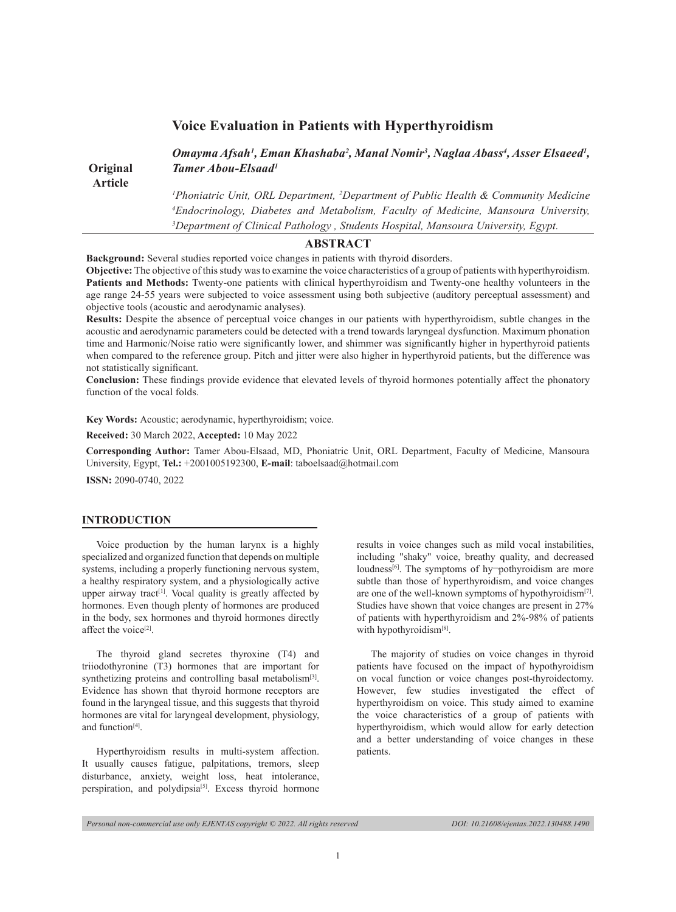|                 | Omayma Afsah <sup>1</sup> , Eman Khashaba <sup>2</sup> , Manal Nomir <sup>3</sup> , Naglaa Abass <sup>4</sup> , Asser Elsaeed <sup>1</sup> , |
|-----------------|----------------------------------------------------------------------------------------------------------------------------------------------|
| <b>Original</b> | <b>Tamer Abou-Elsaad</b> <sup>1</sup>                                                                                                        |
| <b>Article</b>  |                                                                                                                                              |
|                 | <sup>1</sup> Phoniatric Unit, ORL Department, <sup>2</sup> Department of Public Health & Community Medicine                                  |
|                 | <sup>4</sup> Endocrinology, Diabetes and Metabolism, Faculty of Medicine, Mansoura University,                                               |
|                 | <sup>3</sup> Department of Clinical Pathology, Students Hospital, Mansoura University, Egypt.                                                |

# **Voice Evaluation in Patients with Hyperthyroidism**

**ABSTRACT**

**Background:** Several studies reported voice changes in patients with thyroid disorders.

**Objective:** The objective of this study was to examine the voice characteristics of a group of patients with hyperthyroidism. **Patients and Methods:** Twenty-one patients with clinical hyperthyroidism and Twenty-one healthy volunteers in the age range 24-55 years were subjected to voice assessment using both subjective (auditory perceptual assessment) and objective tools (acoustic and aerodynamic analyses).

**Results:** Despite the absence of perceptual voice changes in our patients with hyperthyroidism, subtle changes in the acoustic and aerodynamic parameters could be detected with a trend towards laryngeal dysfunction. Maximum phonation time and Harmonic/Noise ratio were significantly lower, and shimmer was significantly higher in hyperthyroid patients when compared to the reference group. Pitch and jitter were also higher in hyperthyroid patients, but the difference was not statistically significant.

**Conclusion:** These findings provide evidence that elevated levels of thyroid hormones potentially affect the phonatory function of the vocal folds.

**Key Words:** Acoustic; aerodynamic, hyperthyroidism; voice.

**Received:** 30 March 2022, **Accepted:** 10 May 2022

**Corresponding Author:** Tamer Abou-Elsaad, MD, Phoniatric Unit, ORL Department, Faculty of Medicine, Mansoura University, Egypt, **Tel.:** +2001005192300, **E-mail**: taboelsaad@hotmail.com

**ISSN:** 2090-0740, 2022

### **INTRODUCTION**

Voice production by the human larynx is a highly specialized and organized function that depends on multiple systems, including a properly functioning nervous system, a healthy respiratory system, and a physiologically active upper airway tract<sup>[1]</sup>. Vocal quality is greatly affected by hormones. Even though plenty of hormones are produced in the body, sex hormones and thyroid hormones directly affect the voice<sup>[2]</sup>.

The thyroid gland secretes thyroxine (T4) and triiodothyronine (T3) hormones that are important for synthetizing proteins and controlling basal metabolism<sup>[3]</sup>. Evidence has shown that thyroid hormone receptors are found in the laryngeal tissue, and this suggests that thyroid hormones are vital for laryngeal development, physiology, and function<sup>[4]</sup>.

Hyperthyroidism results in multi-system affection. It usually causes fatigue, palpitations, tremors, sleep disturbance, anxiety, weight loss, heat intolerance, perspiration, and polydipsia<sup>[5]</sup>. Excess thyroid hormone

results in voice changes such as mild vocal instabilities, including "shaky" voice, breathy quality, and decreased loudness<sup>[6]</sup>. The symptoms of hy $\neg$ pothyroidism are more subtle than those of hyperthyroidism, and voice changes are one of the well-known symptoms of hypothyroidism<sup>[7]</sup>. Studies have shown that voice changes are present in 27% of patients with hyperthyroidism and 2%-98% of patients with hypothyroidism<sup>[8]</sup>.

The majority of studies on voice changes in thyroid patients have focused on the impact of hypothyroidism on vocal function or voice changes post-thyroidectomy. However, few studies investigated the effect of hyperthyroidism on voice. This study aimed to examine the voice characteristics of a group of patients with hyperthyroidism, which would allow for early detection and a better understanding of voice changes in these patients.

### *Personal non-commercial use only EJENTAS copyright © 2022. All rights reserved DOI: 10.21608/ejentas.2022.130488.1490*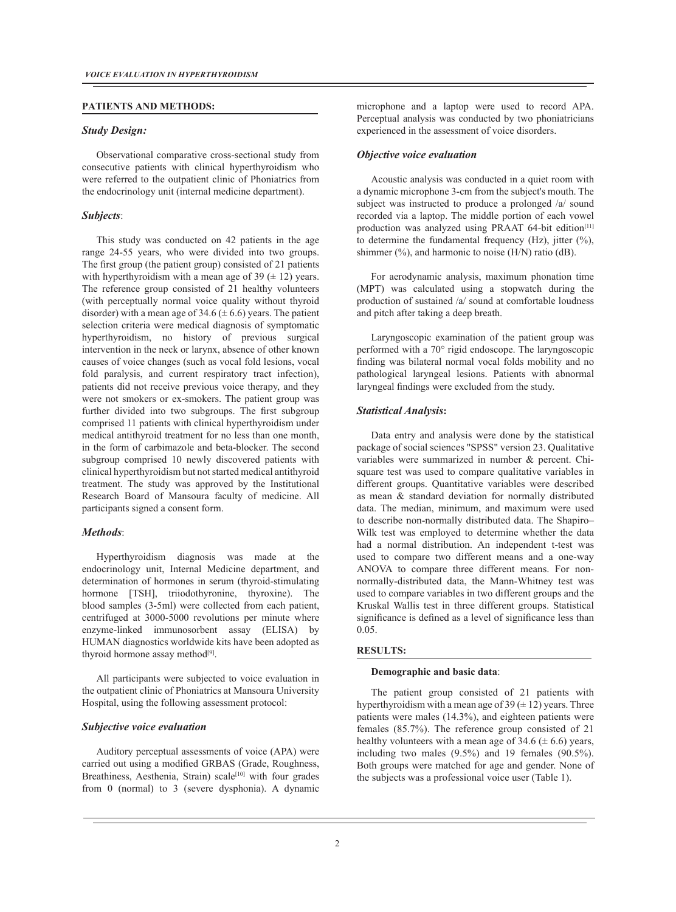#### **PATIENTS AND METHODS:**

### *Study Design:*

Observational comparative cross-sectional study from consecutive patients with clinical hyperthyroidism who were referred to the outpatient clinic of Phoniatrics from the endocrinology unit (internal medicine department).

### *Subjects*:

This study was conducted on 42 patients in the age range 24-55 years, who were divided into two groups. The first group (the patient group) consisted of 21 patients with hyperthyroidism with a mean age of 39  $(\pm 12)$  years. The reference group consisted of 21 healthy volunteers (with perceptually normal voice quality without thyroid disorder) with a mean age of 34.6 ( $\pm$  6.6) years. The patient selection criteria were medical diagnosis of symptomatic hyperthyroidism, no history of previous surgical intervention in the neck or larynx, absence of other known causes of voice changes (such as vocal fold lesions, vocal fold paralysis, and current respiratory tract infection), patients did not receive previous voice therapy, and they were not smokers or ex-smokers. The patient group was further divided into two subgroups. The first subgroup comprised 11 patients with clinical hyperthyroidism under medical antithyroid treatment for no less than one month, in the form of carbimazole and beta-blocker. The second subgroup comprised 10 newly discovered patients with clinical hyperthyroidism but not started medical antithyroid treatment. The study was approved by the Institutional Research Board of Mansoura faculty of medicine. All participants signed a consent form.

### *Methods*:

Hyperthyroidism diagnosis was made at the endocrinology unit, Internal Medicine department, and determination of hormones in serum (thyroid-stimulating hormone [TSH], triiodothyronine, thyroxine). The blood samples (3-5ml) were collected from each patient, centrifuged at 3000-5000 revolutions per minute where enzyme-linked immunosorbent assay (ELISA) by HUMAN diagnostics worldwide kits have been adopted as thyroid hormone assay method<sup>[9]</sup>.

All participants were subjected to voice evaluation in the outpatient clinic of Phoniatrics at Mansoura University Hospital, using the following assessment protocol:

### *Subjective voice evaluation*

Auditory perceptual assessments of voice (APA) were carried out using a modified GRBAS (Grade, Roughness, Breathiness, Aesthenia, Strain) scale<sup>[10]</sup> with four grades from 0 (normal) to 3 (severe dysphonia). A dynamic

microphone and a laptop were used to record APA. Perceptual analysis was conducted by two phoniatricians experienced in the assessment of voice disorders.

#### *Objective voice evaluation*

Acoustic analysis was conducted in a quiet room with a dynamic microphone 3-cm from the subject's mouth. The subject was instructed to produce a prolonged /a/ sound recorded via a laptop. The middle portion of each vowel production was analyzed using PRAAT  $64$ -bit edition<sup>[11]</sup> to determine the fundamental frequency  $(Hz)$ , jitter  $(\%),$ shimmer  $(\%)$ , and harmonic to noise (H/N) ratio (dB).

For aerodynamic analysis, maximum phonation time (MPT) was calculated using a stopwatch during the production of sustained /a/ sound at comfortable loudness and pitch after taking a deep breath.

Laryngoscopic examination of the patient group was performed with a 70° rigid endoscope. The laryngoscopic finding was bilateral normal vocal folds mobility and no pathological laryngeal lesions. Patients with abnormal laryngeal findings were excluded from the study.

### *Statistical Analysis***:**

Data entry and analysis were done by the statistical package of social sciences "SPSS" version 23. Qualitative variables were summarized in number & percent. Chisquare test was used to compare qualitative variables in different groups. Quantitative variables were described as mean & standard deviation for normally distributed data. The median, minimum, and maximum were used to describe non-normally distributed data. The Shapiro– Wilk test was employed to determine whether the data had a normal distribution. An independent t-test was used to compare two different means and a one-way ANOVA to compare three different means. For nonnormally-distributed data, the Mann-Whitney test was used to compare variables in two different groups and the Kruskal Wallis test in three different groups. Statistical significance is defined as a level of significance less than 0.05.

#### **RESULTS:**

#### **Demographic and basic data**:

The patient group consisted of 21 patients with hyperthyroidism with a mean age of  $39 \times 12$ ) years. Three patients were males (14.3%), and eighteen patients were females (85.7%). The reference group consisted of 21 healthy volunteers with a mean age of 34.6 ( $\pm$  6.6) years, including two males (9.5%) and 19 females (90.5%). Both groups were matched for age and gender. None of the subjects was a professional voice user (Table 1).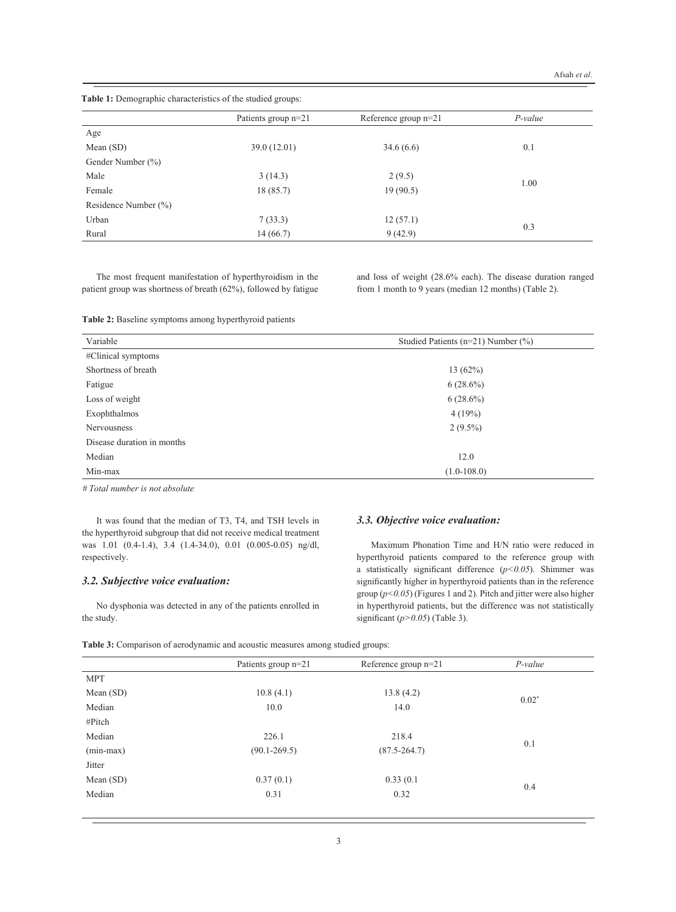|  |  | Table 1: Demographic characteristics of the studied groups: |  |  |  |
|--|--|-------------------------------------------------------------|--|--|--|
|--|--|-------------------------------------------------------------|--|--|--|

|                      | Patients group n=21 | Reference group $n=21$ | P-value |
|----------------------|---------------------|------------------------|---------|
| Age                  |                     |                        |         |
| Mean $(SD)$          | 39.0(12.01)         | 34.6(6.6)              | 0.1     |
| Gender Number (%)    |                     |                        |         |
| Male                 | 3(14.3)             | 2(9.5)                 |         |
| Female               | 18(85.7)            | 19(90.5)               | 1.00    |
| Residence Number (%) |                     |                        |         |
| Urban                | 7(33.3)             | 12(57.1)               |         |
| Rural                | 14(66.7)            | 9(42.9)                | 0.3     |

The most frequent manifestation of hyperthyroidism in the patient group was shortness of breath (62%), followed by fatigue and loss of weight (28.6% each). The disease duration ranged from 1 month to 9 years (median 12 months) (Table 2).

**Table 2:** Baseline symptoms among hyperthyroid patients

| Variable                   | Studied Patients ( $n=21$ ) Number (%) |  |  |
|----------------------------|----------------------------------------|--|--|
| #Clinical symptoms         |                                        |  |  |
| Shortness of breath        | 13(62%)                                |  |  |
| Fatigue                    | $6(28.6\%)$                            |  |  |
| Loss of weight             | $6(28.6\%)$                            |  |  |
| Exophthalmos               | 4(19%)                                 |  |  |
| <b>Nervousness</b>         | $2(9.5\%)$                             |  |  |
| Disease duration in months |                                        |  |  |
| Median                     | 12.0                                   |  |  |
| Min-max                    | $(1.0-108.0)$                          |  |  |

*# Total number is not absolute* 

It was found that the median of T3, T4, and TSH levels in the hyperthyroid subgroup that did not receive medical treatment was 1.01 (0.4-1.4), 3.4 (1.4-34.0), 0.01 (0.005-0.05) ng/dl, respectively.

# *3.2. Subjective voice evaluation:*

No dysphonia was detected in any of the patients enrolled in the study.

# *3.3. Objective voice evaluation:*

Maximum Phonation Time and H/N ratio were reduced in hyperthyroid patients compared to the reference group with a statistically significant difference (*p<0.05*). Shimmer was significantly higher in hyperthyroid patients than in the reference group (*p<0.05*) (Figures 1 and 2). Pitch and jitter were also higher in hyperthyroid patients, but the difference was not statistically significant (*p>0.05*) (Table 3).

**Table 3:** Comparison of aerodynamic and acoustic measures among studied groups:

|             | Patients group n=21    | Reference group $n=21$ | $P$ -value |  |
|-------------|------------------------|------------------------|------------|--|
| <b>MPT</b>  |                        |                        |            |  |
| Mean (SD)   | 10.8(4.1)<br>13.8(4.2) |                        |            |  |
| Median      | 10.0                   | 14.0                   | $0.02*$    |  |
| #Pitch      |                        |                        |            |  |
| Median      | 226.1<br>218.4         |                        | 0.1        |  |
| $(min-max)$ | $(90.1 - 269.5)$       | $(87.5 - 264.7)$       |            |  |
| Jitter      |                        |                        |            |  |
| Mean (SD)   | 0.37(0.1)              | 0.33(0.1)              |            |  |
| Median      | 0.31                   | 0.32                   | 0.4        |  |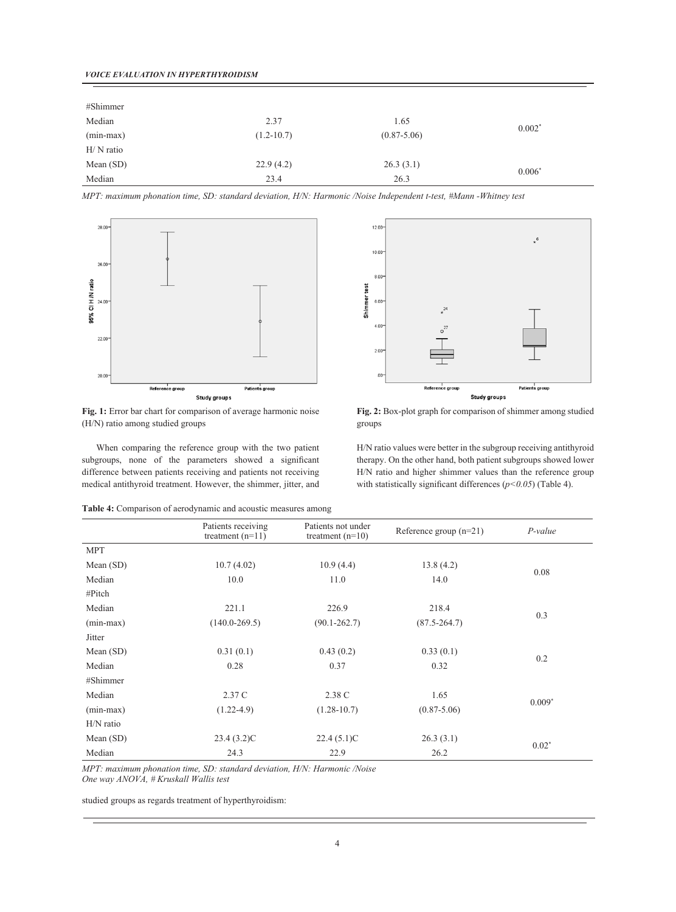| #Shimmer    |                |                 |          |
|-------------|----------------|-----------------|----------|
| Median      | 2.37           | 1.65            |          |
| $(min-max)$ | $(1.2 - 10.7)$ | $(0.87 - 5.06)$ | $0.002*$ |
| $H/N$ ratio |                |                 |          |
| Mean (SD)   | 22.9(4.2)      | 26.3(3.1)       | $0.006*$ |
| Median      | 23.4           | 26.3            |          |

*MPT: maximum phonation time, SD: standard deviation, H/N: Harmonic /Noise Independent t-test, #Mann -Whitney test*



Fig. 1: Error bar chart for comparison of average harmonic noise (H/N) ratio among studied groups

When comparing the reference group with the two patient subgroups, none of the parameters showed a significant difference between patients receiving and patients not receiving medical antithyroid treatment. However, the shimmer, jitter, and



**Fig. 2:** Box-plot graph for comparison of shimmer among studied groups

H/N ratio values were better in the subgroup receiving antithyroid therapy. On the other hand, both patient subgroups showed lower H/N ratio and higher shimmer values than the reference group with statistically significant differences  $(p<0.05)$  (Table 4).

**Table 4:** Comparison of aerodynamic and acoustic measures among

|             | Patients receiving<br>treatment $(n=11)$ | Patients not under<br>treatment $(n=10)$ | Reference group $(n=21)$ | $P-value$ |  |
|-------------|------------------------------------------|------------------------------------------|--------------------------|-----------|--|
| <b>MPT</b>  |                                          |                                          |                          |           |  |
| Mean (SD)   | 10.7(4.02)                               | 10.9(4.4)                                | 13.8(4.2)                |           |  |
| Median      | 10.0                                     | 11.0                                     | 14.0                     | 0.08      |  |
| #Pitch      |                                          |                                          |                          |           |  |
| Median      | 221.1                                    | 226.9                                    | 218.4                    |           |  |
| $(min-max)$ | $(140.0 - 269.5)$                        | $(90.1 - 262.7)$                         | $(87.5 - 264.7)$         | 0.3       |  |
| Jitter      |                                          |                                          |                          |           |  |
| Mean (SD)   | 0.31(0.1)                                | 0.43(0.2)                                | 0.33(0.1)                |           |  |
| Median      | 0.28                                     | 0.37                                     | 0.32                     | 0.2       |  |
| #Shimmer    |                                          |                                          |                          |           |  |
| Median      | 2.37 C                                   | 2.38 C                                   | 1.65                     | $0.009*$  |  |
| $(min-max)$ | $(1.22 - 4.9)$                           | $(1.28 - 10.7)$                          | $(0.87 - 5.06)$          |           |  |
| H/N ratio   |                                          |                                          |                          |           |  |
| Mean $(SD)$ | 23.4(3.2)C                               | 22.4(5.1)C                               | 26.3(3.1)                |           |  |
| Median      | 24.3                                     | 22.9                                     | 26.2                     | $0.02*$   |  |

*MPT: maximum phonation time, SD: standard deviation, H/N: Harmonic /Noise One way ANOVA, # Kruskall Wallis test* 

studied groups as regards treatment of hyperthyroidism: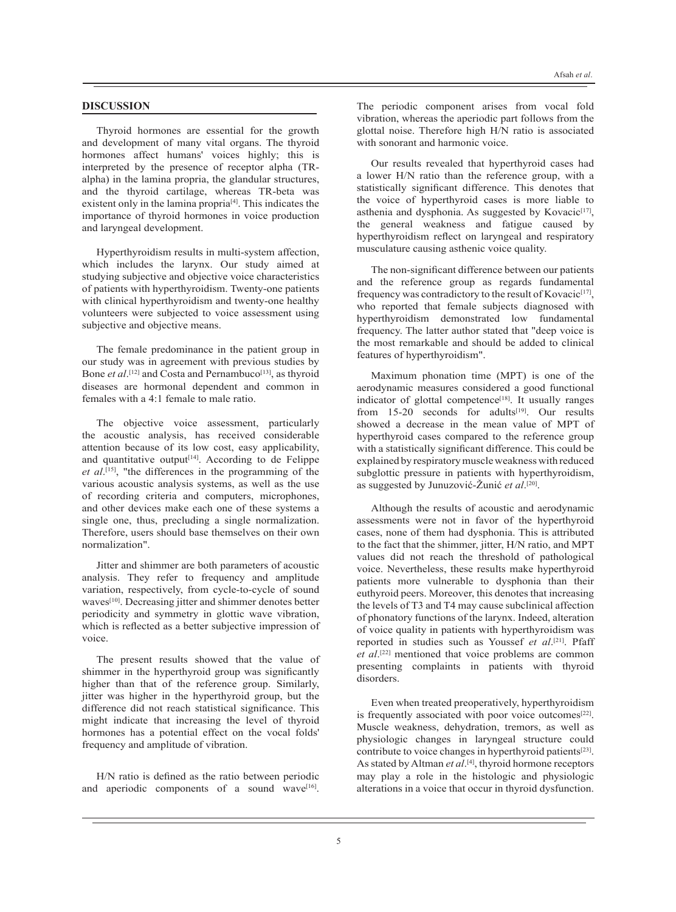### **DISCUSSION**

Thyroid hormones are essential for the growth and development of many vital organs. The thyroid hormones affect humans' voices highly; this is interpreted by the presence of receptor alpha (TRalpha) in the lamina propria, the glandular structures, and the thyroid cartilage, whereas TR-beta was existent only in the lamina propria<sup>[4]</sup>. This indicates the importance of thyroid hormones in voice production and laryngeal development.

Hyperthyroidism results in multi-system affection, which includes the larynx. Our study aimed at studying subjective and objective voice characteristics of patients with hyperthyroidism. Twenty-one patients with clinical hyperthyroidism and twenty-one healthy volunteers were subjected to voice assessment using subjective and objective means.

The female predominance in the patient group in our study was in agreement with previous studies by Bone *et al*.<sup>[12]</sup> and Costa and Pernambuco<sup>[13]</sup>, as thyroid diseases are hormonal dependent and common in females with a 4:1 female to male ratio.

The objective voice assessment, particularly the acoustic analysis, has received considerable attention because of its low cost, easy applicability, and quantitative output<sup>[14]</sup>. According to de Felippe *et al*. [15], "the differences in the programming of the various acoustic analysis systems, as well as the use of recording criteria and computers, microphones, and other devices make each one of these systems a single one, thus, precluding a single normalization. Therefore, users should base themselves on their own normalization".

Jitter and shimmer are both parameters of acoustic analysis. They refer to frequency and amplitude variation, respectively, from cycle-to-cycle of sound waves<sup>[10]</sup>. Decreasing jitter and shimmer denotes better periodicity and symmetry in glottic wave vibration, which is reflected as a better subjective impression of voice.

The present results showed that the value of shimmer in the hyperthyroid group was significantly higher than that of the reference group. Similarly, jitter was higher in the hyperthyroid group, but the difference did not reach statistical significance. This might indicate that increasing the level of thyroid hormones has a potential effect on the vocal folds' frequency and amplitude of vibration.

H/N ratio is defined as the ratio between periodic and aperiodic components of a sound wave<sup>[16]</sup>.

The periodic component arises from vocal fold vibration, whereas the aperiodic part follows from the glottal noise. Therefore high H/N ratio is associated with sonorant and harmonic voice.

Our results revealed that hyperthyroid cases had a lower H/N ratio than the reference group, with a statistically significant difference. This denotes that the voice of hyperthyroid cases is more liable to asthenia and dysphonia. As suggested by Kovacic<sup>[17]</sup>, the general weakness and fatigue caused by hyperthyroidism reflect on laryngeal and respiratory musculature causing asthenic voice quality.

The non-significant difference between our patients and the reference group as regards fundamental frequency was contradictory to the result of Kovacic<sup>[17]</sup>, who reported that female subjects diagnosed with hyperthyroidism demonstrated low fundamental frequency. The latter author stated that "deep voice is the most remarkable and should be added to clinical features of hyperthyroidism".

Maximum phonation time (MPT) is one of the aerodynamic measures considered a good functional indicator of glottal competence<sup>[18]</sup>. It usually ranges from  $15-20$  seconds for adults<sup>[19]</sup>. Our results showed a decrease in the mean value of MPT of hyperthyroid cases compared to the reference group with a statistically significant difference. This could be explained by respiratory muscle weakness with reduced subglottic pressure in patients with hyperthyroidism, as suggested by Junuzović-Žunić *et al*. [20].

Although the results of acoustic and aerodynamic assessments were not in favor of the hyperthyroid cases, none of them had dysphonia. This is attributed to the fact that the shimmer, jitter, H/N ratio, and MPT values did not reach the threshold of pathological voice. Nevertheless, these results make hyperthyroid patients more vulnerable to dysphonia than their euthyroid peers. Moreover, this denotes that increasing the levels of T3 and T4 may cause subclinical affection of phonatory functions of the larynx. Indeed, alteration of voice quality in patients with hyperthyroidism was reported in studies such as Youssef *et al*. [21]. Pfaff et al.<sup>[22]</sup> mentioned that voice problems are common presenting complaints in patients with thyroid disorders.

Even when treated preoperatively, hyperthyroidism is frequently associated with poor voice outcomes<sup>[22]</sup>. Muscle weakness, dehydration, tremors, as well as physiologic changes in laryngeal structure could contribute to voice changes in hyperthyroid patients<sup>[23]</sup>. As stated by Altman *et al*.<sup>[4]</sup>, thyroid hormone receptors may play a role in the histologic and physiologic alterations in a voice that occur in thyroid dysfunction.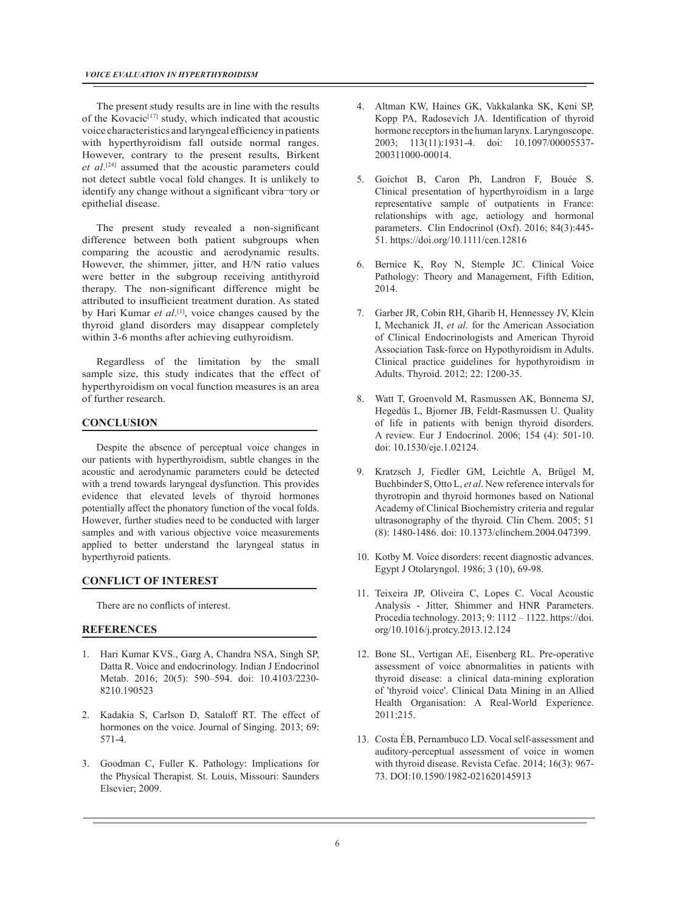The present study results are in line with the results of the Kovacic<sup>[17]</sup> study, which indicated that acoustic voice characteristics and laryngeal efficiency in patients with hyperthyroidism fall outside normal ranges. However, contrary to the present results, Birkent *et al*. [24] assumed that the acoustic parameters could not detect subtle vocal fold changes. It is unlikely to identify any change without a significant vibra¬tory or epithelial disease.

The present study revealed a non-significant difference between both patient subgroups when comparing the acoustic and aerodynamic results. However, the shimmer, jitter, and H/N ratio values were better in the subgroup receiving antithyroid therapy. The non-significant difference might be attributed to insufficient treatment duration. As stated by Hari Kumar *et al*.<sup>[1]</sup>, voice changes caused by the thyroid gland disorders may disappear completely within 3-6 months after achieving euthyroidism.

Regardless of the limitation by the small sample size, this study indicates that the effect of hyperthyroidism on vocal function measures is an area of further research.

## **CONCLUSION**

Despite the absence of perceptual voice changes in our patients with hyperthyroidism, subtle changes in the acoustic and aerodynamic parameters could be detected with a trend towards laryngeal dysfunction. This provides evidence that elevated levels of thyroid hormones potentially affect the phonatory function of the vocal folds. However, further studies need to be conducted with larger samples and with various objective voice measurements applied to better understand the laryngeal status in hyperthyroid patients.

### **CONFLICT OF INTEREST**

There are no conflicts of interest.

# **REFERENCES**

- 1. Hari Kumar KVS., Garg A, Chandra NSA, Singh SP, Datta R. Voice and endocrinology. Indian J Endocrinol Metab. 2016; 20(5): 590–594. doi: 10.4103/2230- 8210.190523
- 2. Kadakia S, Carlson D, Sataloff RT. The effect of hormones on the voice. Journal of Singing. 2013; 69: 571-4.
- 3. Goodman C, Fuller K. Pathology: Implications for the Physical Therapist. St. Louis, Missouri: Saunders Elsevier; 2009.
- 4. Altman KW, Haines GK, Vakkalanka SK, Keni SP, Kopp PA, Radosevich JA. Identification of thyroid hormone receptors in the human larynx. Laryngoscope. 2003; 113(11):1931-4. doi: 10.1097/00005537- 200311000-00014.
- 5. Goichot B, Caron Ph, Landron F, Bouée S. Clinical presentation of hyperthyroidism in a large representative sample of outpatients in France: relationships with age, aetiology and hormonal parameters. Clin Endocrinol (Oxf). 2016; 84(3):445- 51. https://doi.org/10.1111/cen.12816
- 6. Bernice K, Roy N, Stemple JC. Clinical Voice Pathology: Theory and Management, Fifth Edition, 2014.
- 7. Garber JR, Cobin RH, Gharib H, Hennessey JV, Klein I, Mechanick JI, *et al*. for the American Association of Clinical Endocrinologists and American Thyroid Association Task-force on Hypothyroidism in Adults. Clinical practice guidelines for hypothyroidism in Adults. Thyroid. 2012; 22: 1200-35.
- 8. Watt T, Groenvold M, Rasmussen AK, Bonnema SJ, Hegedüs L, Bjorner JB, Feldt-Rasmussen U. Quality of life in patients with benign thyroid disorders. A review. Eur J Endocrinol. 2006; 154 (4): 501-10. doi: 10.1530/eje.1.02124.
- 9. Kratzsch J, Fiedler GM, Leichtle A, Brügel M, Buchbinder S, Otto L, *et al*. New reference intervals for thyrotropin and thyroid hormones based on National Academy of Clinical Biochemistry criteria and regular ultrasonography of the thyroid. Clin Chem. 2005; 51 (8): 1480-1486. doi: 10.1373/clinchem.2004.047399.
- 10. Kotby M. Voice disorders: recent diagnostic advances. Egypt J Otolaryngol. 1986; 3 (10), 69-98.
- 11. Teixeira JP, Oliveira C, Lopes C. Vocal Acoustic Analysis - Jitter, Shimmer and HNR Parameters. Procedia technology. 2013; 9: 1112 – 1122. https://doi. org/10.1016/j.protcy.2013.12.124
- 12. Bone SL, Vertigan AE, Eisenberg RL. Pre-operative assessment of voice abnormalities in patients with thyroid disease: a clinical data-mining exploration of 'thyroid voice'. Clinical Data Mining in an Allied Health Organisation: A Real-World Experience. 2011:215.
- 13. Costa ÉB, Pernambuco LD. Vocal self-assessment and auditory-perceptual assessment of voice in women with thyroid disease. Revista Cefac. 2014; 16(3): 967- 73. DOI:10.1590/1982-021620145913